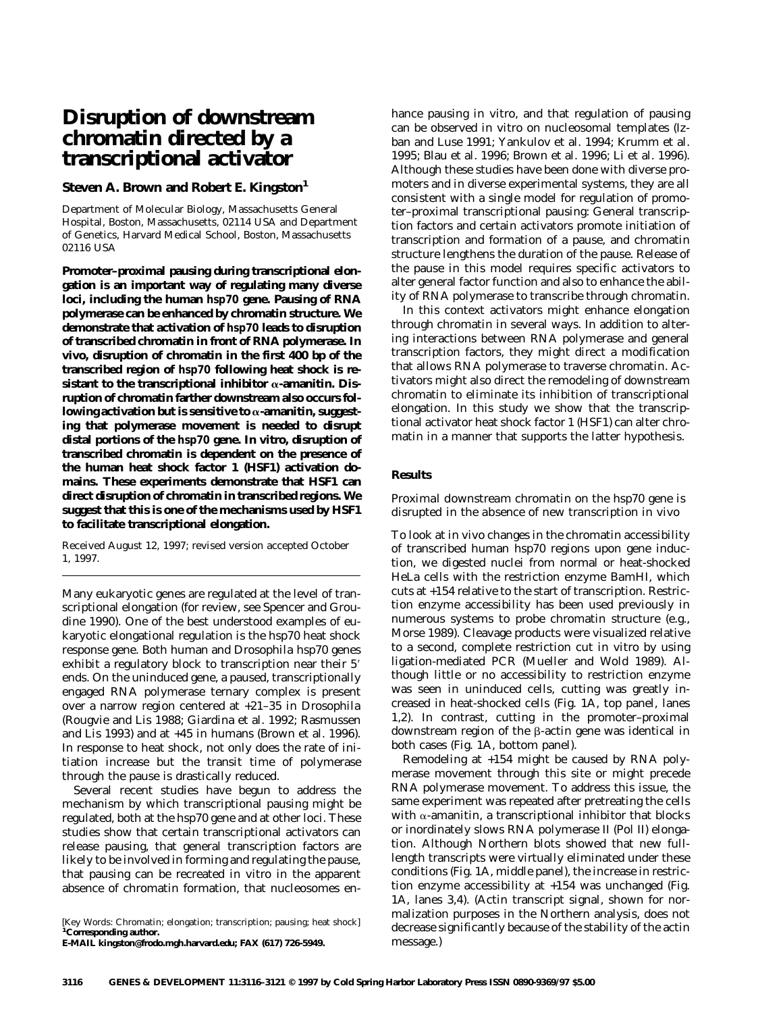# **Disruption of downstream chromatin directed by a transcriptional activator**

# **Steven A. Brown and Robert E. Kingston1**

Department of Molecular Biology, Massachusetts General Hospital, Boston, Massachusetts, 02114 USA and Department of Genetics, Harvard Medical School, Boston, Massachusetts 02116 USA

**Promoter–proximal pausing during transcriptional elongation is an important way of regulating many diverse loci, including the human** *hsp70* **gene. Pausing of RNA polymerase can be enhanced by chromatin structure. We demonstrate that activation of** *hsp70* **leads to disruption of transcribed chromatin in front of RNA polymerase. In vivo, disruption of chromatin in the first 400 bp of the transcribed region of** *hsp70* **following heat shock is re**sistant to the transcriptional inhibitor  $\alpha$ -amanitin. Dis**ruption of chromatin farther downstream also occurs fol**lowing activation but is sensitive to  $\alpha$ -amanitin, suggest**ing that polymerase movement is needed to disrupt distal portions of the** *hsp70* **gene. In vitro, disruption of transcribed chromatin is dependent on the presence of the human heat shock factor 1 (HSF1) activation domains. These experiments demonstrate that HSF1 can direct disruption of chromatin in transcribed regions. We suggest that this is one of the mechanisms used by HSF1 to facilitate transcriptional elongation.**

Received August 12, 1997; revised version accepted October 1, 1997.

Many eukaryotic genes are regulated at the level of transcriptional elongation (for review, see Spencer and Groudine 1990). One of the best understood examples of eukaryotic elongational regulation is the *hsp70* heat shock response gene. Both human and *Drosophila hsp70* genes exhibit a regulatory block to transcription near their 5' ends. On the uninduced gene, a paused, transcriptionally engaged RNA polymerase ternary complex is present over a narrow region centered at +21–35 in *Drosophila* (Rougvie and Lis 1988; Giardina et al. 1992; Rasmussen and Lis 1993) and at +45 in humans (Brown et al. 1996). In response to heat shock, not only does the rate of initiation increase but the transit time of polymerase through the pause is drastically reduced.

Several recent studies have begun to address the mechanism by which transcriptional pausing might be regulated, both at the *hsp70* gene and at other loci. These studies show that certain transcriptional activators can release pausing, that general transcription factors are likely to be involved in forming and regulating the pause, that pausing can be recreated in vitro in the apparent absence of chromatin formation, that nucleosomes en-

[*Key Words:* Chromatin; elongation; transcription; pausing; heat shock] **<sup>1</sup> Corresponding author. E-MAIL kingston@frodo.mgh.harvard.edu; FAX (617) 726-5949.**

hance pausing in vitro, and that regulation of pausing can be observed in vitro on nucleosomal templates (Izban and Luse 1991; Yankulov et al. 1994; Krumm et al. 1995; Blau et al. 1996; Brown et al. 1996; Li et al. 1996). Although these studies have been done with diverse promoters and in diverse experimental systems, they are all consistent with a single model for regulation of promoter–proximal transcriptional pausing: General transcription factors and certain activators promote initiation of transcription and formation of a pause, and chromatin structure lengthens the duration of the pause. Release of the pause in this model requires specific activators to alter general factor function and also to enhance the ability of RNA polymerase to transcribe through chromatin.

In this context activators might enhance elongation through chromatin in several ways. In addition to altering interactions between RNA polymerase and general transcription factors, they might direct a modification that allows RNA polymerase to traverse chromatin. Activators might also direct the remodeling of downstream chromatin to eliminate its inhibition of transcriptional elongation. In this study we show that the transcriptional activator heat shock factor 1 (HSF1) can alter chromatin in a manner that supports the latter hypothesis.

## **Results**

# *Proximal downstream chromatin on the* hsp70 *gene is disrupted in the absence of new transcription in vivo*

To look at in vivo changes in the chromatin accessibility of transcribed human *hsp70* regions upon gene induction, we digested nuclei from normal or heat-shocked HeLa cells with the restriction enzyme *Bam*HI, which cuts at +154 relative to the start of transcription. Restriction enzyme accessibility has been used previously in numerous systems to probe chromatin structure (e.g., Morse 1989). Cleavage products were visualized relative to a second, complete restriction cut in vitro by using ligation-mediated PCR (Mueller and Wold 1989). Although little or no accessibility to restriction enzyme was seen in uninduced cells, cutting was greatly increased in heat-shocked cells (Fig. 1A, top panel, lanes 1,2). In contrast, cutting in the promoter–proximal downstream region of the  $\beta$ -actin gene was identical in both cases (Fig. 1A, bottom panel).

Remodeling at +154 might be caused by RNA polymerase movement through this site or might precede RNA polymerase movement. To address this issue, the same experiment was repeated after pretreating the cells with  $\alpha$ -amanitin, a transcriptional inhibitor that blocks or inordinately slows RNA polymerase II (Pol II) elongation. Although Northern blots showed that new fulllength transcripts were virtually eliminated under these conditions (Fig. 1A, middle panel), the increase in restriction enzyme accessibility at +154 was unchanged (Fig. 1A, lanes 3,4). (Actin transcript signal, shown for normalization purposes in the Northern analysis, does not decrease significantly because of the stability of the actin message.)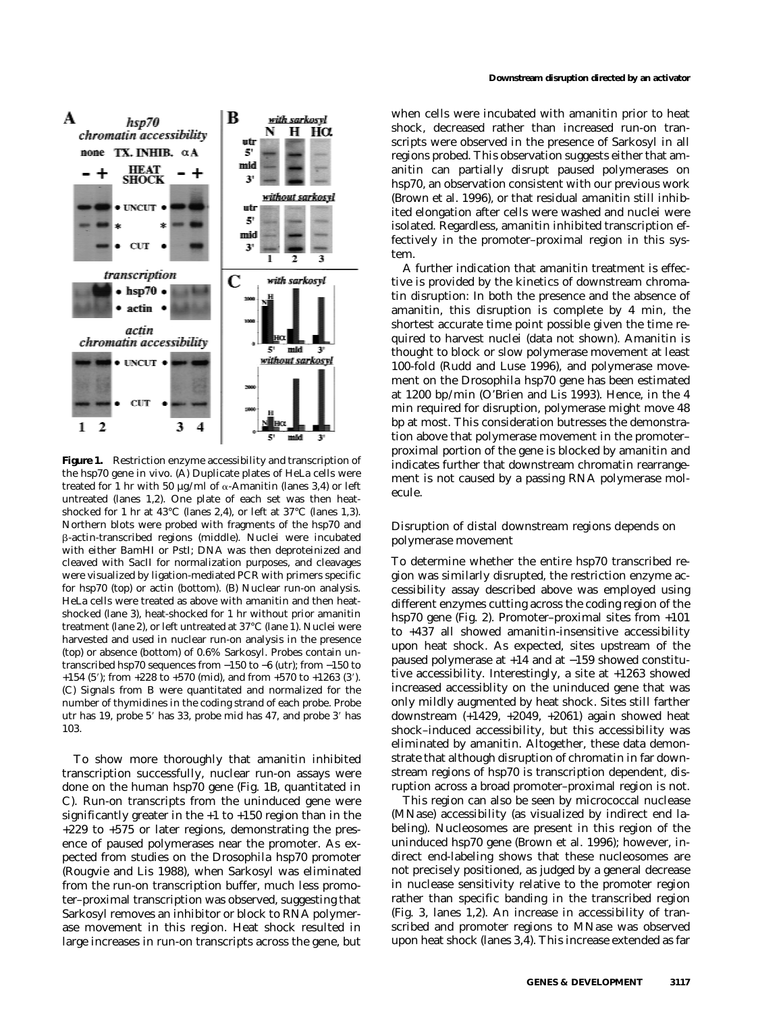

**Figure 1.** Restriction enzyme accessibility and transcription of the *hsp70* gene in vivo. (*A*) Duplicate plates of HeLa cells were treated for 1 hr with 50  $\mu$ g/ml of  $\alpha$ -Amanitin (lanes 3,4) or left untreated (lanes *1,2*). One plate of each set was then heatshocked for 1 hr at 43°C (lanes *2,4*), or left at 37°C (lanes *1,3*). Northern blots were probed with fragments of the *hsp70* and b-actin-transcribed regions (*middle*). Nuclei were incubated with either *Bam*HI or *Pst*I; DNA was then deproteinized and cleaved with *Sac*II for normalization purposes, and cleavages were visualized by ligation-mediated PCR with primers specific for *hsp70* (*top*) or actin (*bottom*). (*B*) Nuclear run-on analysis. HeLa cells were treated as above with amanitin and then heatshocked (lane *3*), heat-shocked for 1 hr without prior amanitin treatment (lane *2*), or left untreated at 37°C (lane *1*). Nuclei were harvested and used in nuclear run-on analysis in the presence (*top*) or absence (*bottom*) of 0.6% Sarkosyl. Probes contain untranscribed *hsp70* sequences from −150 to −6 (utr); from −150 to  $+154$  (5'); from  $+228$  to  $+570$  (mid), and from  $+570$  to  $+1263$  (3'). (*C*) Signals from *B* were quantitated and normalized for the number of thymidines in the coding strand of each probe. Probe utr has 19, probe 5' has 33, probe mid has 47, and probe 3' has 103.

To show more thoroughly that amanitin inhibited transcription successfully, nuclear run-on assays were done on the human *hsp70* gene (Fig. 1B, quantitated in C). Run-on transcripts from the uninduced gene were significantly greater in the +1 to +150 region than in the +229 to +575 or later regions, demonstrating the presence of paused polymerases near the promoter. As expected from studies on the *Drosophila hsp70* promoter (Rougvie and Lis 1988), when Sarkosyl was eliminated from the run-on transcription buffer, much less promoter–proximal transcription was observed, suggesting that Sarkosyl removes an inhibitor or block to RNA polymerase movement in this region. Heat shock resulted in large increases in run-on transcripts across the gene, but when cells were incubated with amanitin prior to heat shock, decreased rather than increased run-on transcripts were observed in the presence of Sarkosyl in all regions probed. This observation suggests either that amanitin can partially disrupt paused polymerases on *hsp70,* an observation consistent with our previous work (Brown et al. 1996), or that residual amanitin still inhibited elongation after cells were washed and nuclei were isolated. Regardless, amanitin inhibited transcription effectively in the promoter–proximal region in this system.

A further indication that amanitin treatment is effective is provided by the kinetics of downstream chromatin disruption: In both the presence and the absence of amanitin, this disruption is complete by 4 min, the shortest accurate time point possible given the time required to harvest nuclei (data not shown). Amanitin is thought to block or slow polymerase movement at least 100-fold (Rudd and Luse 1996), and polymerase movement on the *Drosophila hsp70* gene has been estimated at 1200 bp/min (O'Brien and Lis 1993). Hence, in the 4 min required for disruption, polymerase might move 48 bp at most. This consideration butresses the demonstration above that polymerase movement in the promoter– proximal portion of the gene is blocked by amanitin and indicates further that downstream chromatin rearrangement is not caused by a passing RNA polymerase molecule.

# *Disruption of distal downstream regions depends on polymerase movement*

To determine whether the entire *hsp70* transcribed region was similarly disrupted, the restriction enzyme accessibility assay described above was employed using different enzymes cutting across the coding region of the *hsp70* gene (Fig. 2). Promoter–proximal sites from +101 to +437 all showed amanitin-insensitive accessibility upon heat shock. As expected, sites upstream of the paused polymerase at +14 and at −159 showed constitutive accessibility. Interestingly, a site at +1263 showed increased accessiblity on the uninduced gene that was only mildly augmented by heat shock. Sites still farther downstream (+1429, +2049, +2061) again showed heat shock–induced accessibility, but this accessibility was eliminated by amanitin. Altogether, these data demonstrate that although disruption of chromatin in far downstream regions of *hsp70* is transcription dependent, disruption across a broad promoter–proximal region is not.

This region can also be seen by micrococcal nuclease (MNase) accessibility (as visualized by indirect end labeling). Nucleosomes are present in this region of the uninduced *hsp70* gene (Brown et al. 1996); however, indirect end-labeling shows that these nucleosomes are not precisely positioned, as judged by a general decrease in nuclease sensitivity relative to the promoter region rather than specific banding in the transcribed region (Fig. 3, lanes 1,2). An increase in accessibility of transcribed and promoter regions to MNase was observed upon heat shock (lanes 3,4). This increase extended as far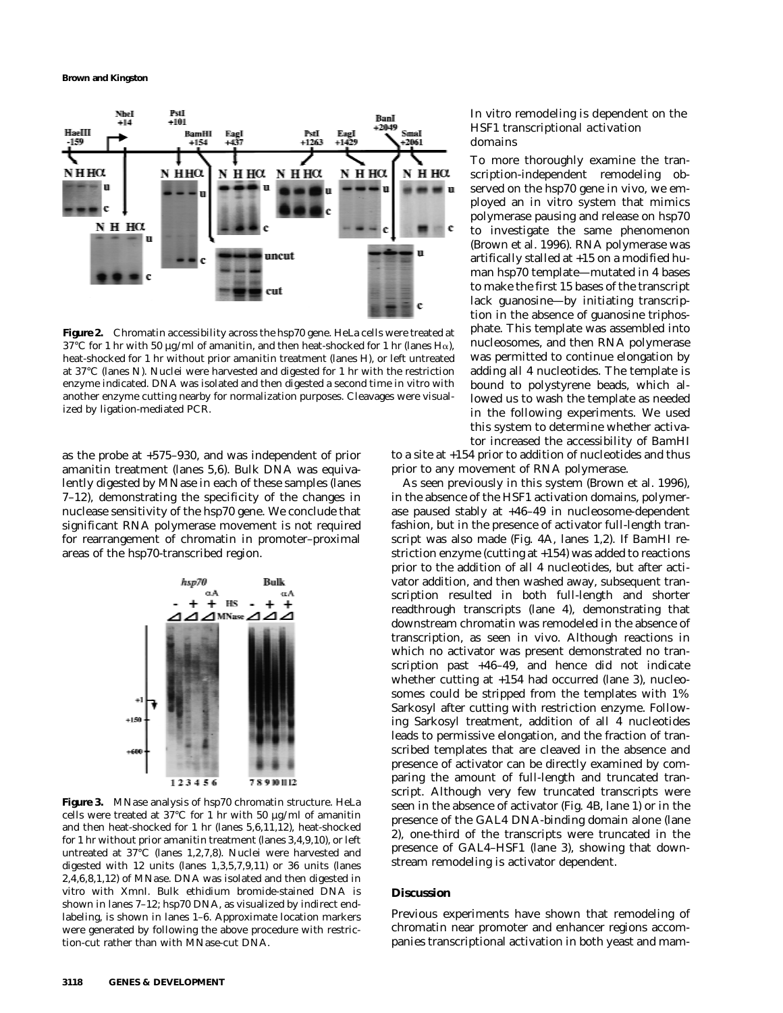

**Figure 2.** Chromatin accessibility across the *hsp70* gene. HeLa cells were treated at 37°C for 1 hr with 50  $\mu$ g/ml of amanitin, and then heat-shocked for 1 hr (lanes H $\alpha$ ), heat-shocked for 1 hr without prior amanitin treatment (lanes H), or left untreated at 37°C (lanes N). Nuclei were harvested and digested for 1 hr with the restriction enzyme indicated. DNA was isolated and then digested a second time in vitro with another enzyme cutting nearby for normalization purposes. Cleavages were visualized by ligation-mediated PCR.

as the probe at +575–930, and was independent of prior amanitin treatment (lanes 5,6). Bulk DNA was equivalently digested by MNase in each of these samples (lanes 7–12), demonstrating the specificity of the changes in nuclease sensitivity of the *hsp70* gene. We conclude that significant RNA polymerase movement is not required for rearrangement of chromatin in promoter–proximal areas of the *hsp70*-transcribed region.



**Figure 3.** MNase analysis of *hsp70* chromatin structure. HeLa cells were treated at 37°C for 1 hr with 50 µg/ml of amanitin and then heat-shocked for 1 hr (lanes *5,6,11,12*), heat-shocked for 1 hr without prior amanitin treatment (lanes *3,4,9,10*), or left untreated at 37°C (lanes *1,2,7,8*). Nuclei were harvested and digested with 12 units (lanes *1,3,5,7,9,11*) or 36 units (lanes *2,4,6,8,1,12*) of MNase. DNA was isolated and then digested in vitro with *Xmn*I. Bulk ethidium bromide-stained DNA is shown in lanes *7–12; hsp70* DNA, as visualized by indirect endlabeling, is shown in lanes *1–6.* Approximate location markers were generated by following the above procedure with restriction-cut rather than with MNase-cut DNA.

## *In vitro remodeling is dependent on the HSF1 transcriptional activation domains*

To more thoroughly examine the transcription-independent remodeling observed on the *hsp70* gene in vivo, we employed an in vitro system that mimics polymerase pausing and release on *hsp70* to investigate the same phenomenon (Brown et al. 1996). RNA polymerase was artifically stalled at +15 on a modified human *hsp70* template—mutated in 4 bases to make the first 15 bases of the transcript lack guanosine—by initiating transcription in the absence of guanosine triphosphate. This template was assembled into nucleosomes, and then RNA polymerase was permitted to continue elongation by adding all 4 nucleotides. The template is bound to polystyrene beads, which allowed us to wash the template as needed in the following experiments. We used this system to determine whether activator increased the accessibility of *Bam*HI

to a site at +154 prior to addition of nucleotides and thus prior to any movement of RNA polymerase.

As seen previously in this system (Brown et al. 1996), in the absence of the HSF1 activation domains, polymerase paused stably at +46–49 in nucleosome-dependent fashion, but in the presence of activator full-length transcript was also made (Fig. 4A, lanes 1,2). If *Bam*HI restriction enzyme (cutting at +154) was added to reactions prior to the addition of all 4 nucleotides, but after activator addition, and then washed away, subsequent transcription resulted in both full-length and shorter readthrough transcripts (lane 4), demonstrating that downstream chromatin was remodeled in the absence of transcription, as seen in vivo. Although reactions in which no activator was present demonstrated no transcription past +46–49, and hence did not indicate whether cutting at +154 had occurred (lane 3), nucleosomes could be stripped from the templates with 1% Sarkosyl after cutting with restriction enzyme. Following Sarkosyl treatment, addition of all 4 nucleotides leads to permissive elongation, and the fraction of transcribed templates that are cleaved in the absence and presence of activator can be directly examined by comparing the amount of full-length and truncated transcript. Although very few truncated transcripts were seen in the absence of activator (Fig. 4B, lane 1) or in the presence of the GAL4 DNA-binding domain alone (lane 2), one-third of the transcripts were truncated in the presence of GAL4–HSF1 (lane 3), showing that downstream remodeling is activator dependent.

## **Discussion**

Previous experiments have shown that remodeling of chromatin near promoter and enhancer regions accompanies transcriptional activation in both yeast and mam-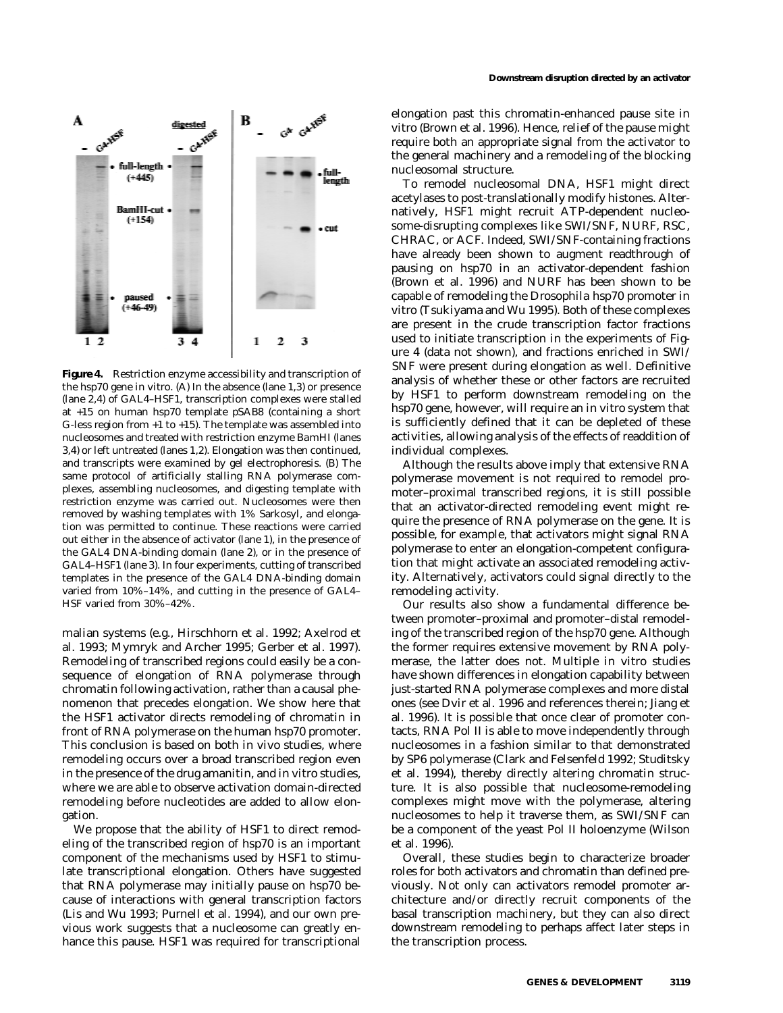

**Figure 4.** Restriction enzyme accessibility and transcription of the *hsp70* gene in vitro. (*A*) In the absence (lane *1,3*) or presence (lane *2,4*) of GAL4–HSF1, transcription complexes were stalled at +15 on human *hsp70* template pSAB8 (containing a short G-less region from  $+1$  to  $+15$ ). The template was assembled into nucleosomes and treated with restriction enzyme *Bam*HI (lanes *3,4*) or left untreated (lanes *1,2*). Elongation was then continued, and transcripts were examined by gel electrophoresis. (*B*) The same protocol of artificially stalling RNA polymerase complexes, assembling nucleosomes, and digesting template with restriction enzyme was carried out. Nucleosomes were then removed by washing templates with 1% Sarkosyl, and elongation was permitted to continue. These reactions were carried out either in the absence of activator (lane *1*), in the presence of the GAL4 DNA-binding domain (lane *2*), or in the presence of GAL4–HSF1 (lane *3*). In four experiments, cutting of transcribed templates in the presence of the GAL4 DNA-binding domain varied from 10%–14%, and cutting in the presence of GAL4– HSF varied from 30%–42%.

malian systems (e.g., Hirschhorn et al. 1992; Axelrod et al. 1993; Mymryk and Archer 1995; Gerber et al. 1997). Remodeling of transcribed regions could easily be a consequence of elongation of RNA polymerase through chromatin following activation, rather than a causal phenomenon that precedes elongation. We show here that the HSF1 activator directs remodeling of chromatin in front of RNA polymerase on the human *hsp70* promoter. This conclusion is based on both in vivo studies, where remodeling occurs over a broad transcribed region even in the presence of the drug amanitin, and *in vitro* studies, where we are able to observe activation domain-directed remodeling before nucleotides are added to allow elongation.

We propose that the ability of HSF1 to direct remodeling of the transcribed region of *hsp70* is an important component of the mechanisms used by HSF1 to stimulate transcriptional elongation. Others have suggested that RNA polymerase may initially pause on *hsp70* because of interactions with general transcription factors (Lis and Wu 1993; Purnell et al. 1994), and our own previous work suggests that a nucleosome can greatly enhance this pause. HSF1 was required for transcriptional elongation past this chromatin-enhanced pause site in vitro (Brown et al. 1996). Hence, relief of the pause might require both an appropriate signal from the activator to the general machinery and a remodeling of the blocking nucleosomal structure.

To remodel nucleosomal DNA, HSF1 might direct acetylases to post-translationally modify histones. Alternatively, HSF1 might recruit ATP-dependent nucleosome-disrupting complexes like SWI/SNF, NURF, RSC, CHRAC, or ACF. Indeed, SWI/SNF-containing fractions have already been shown to augment readthrough of pausing on *hsp70* in an activator-dependent fashion (Brown et al. 1996) and NURF has been shown to be capable of remodeling the *Drosophila hsp70* promoter in vitro (Tsukiyama and Wu 1995). Both of these complexes are present in the crude transcription factor fractions used to initiate transcription in the experiments of Figure 4 (data not shown), and fractions enriched in SWI/ SNF were present during elongation as well. Definitive analysis of whether these or other factors are recruited by HSF1 to perform downstream remodeling on the *hsp70* gene, however, will require an in vitro system that is sufficiently defined that it can be depleted of these activities, allowing analysis of the effects of readdition of individual complexes.

Although the results above imply that extensive RNA polymerase movement is not required to remodel promoter–proximal transcribed regions, it is still possible that an activator-directed remodeling event might require the presence of RNA polymerase on the gene. It is possible, for example, that activators might signal RNA polymerase to enter an elongation-competent configuration that might activate an associated remodeling activity. Alternatively, activators could signal directly to the remodeling activity.

Our results also show a fundamental difference between promoter–proximal and promoter–distal remodeling of the transcribed region of the *hsp70* gene. Although the former requires extensive movement by RNA polymerase, the latter does not. Multiple in vitro studies have shown differences in elongation capability between just-started RNA polymerase complexes and more distal ones (see Dvir et al. 1996 and references therein; Jiang et al. 1996). It is possible that once clear of promoter contacts, RNA Pol II is able to move independently through nucleosomes in a fashion similar to that demonstrated by SP6 polymerase (Clark and Felsenfeld 1992; Studitsky et al. 1994), thereby directly altering chromatin structure. It is also possible that nucleosome-remodeling complexes might move with the polymerase, altering nucleosomes to help it traverse them, as SWI/SNF can be a component of the yeast Pol II holoenzyme (Wilson et al. 1996).

Overall, these studies begin to characterize broader roles for both activators and chromatin than defined previously. Not only can activators remodel promoter architecture and/or directly recruit components of the basal transcription machinery, but they can also direct downstream remodeling to perhaps affect later steps in the transcription process.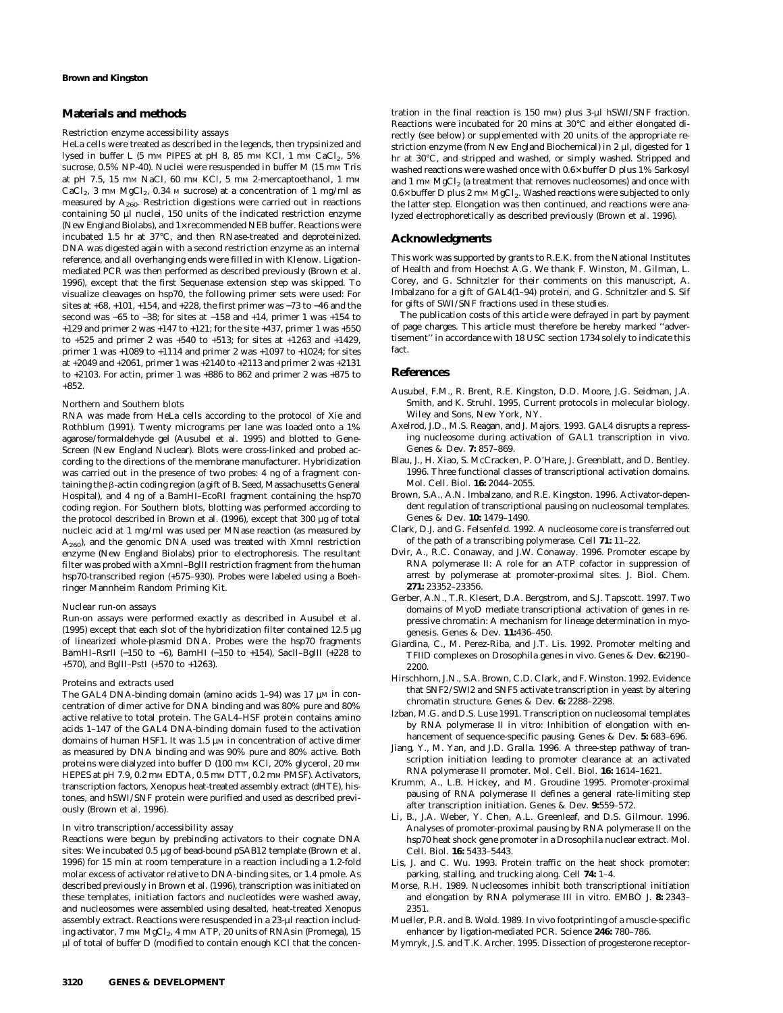#### **Materials and methods**

#### *Restriction enzyme accessibility assays*

HeLa cells were treated as described in the legends, then trypsinized and lysed in buffer L (5 mm PIPES at pH 8, 85 mm KCl, 1 mm CaCl<sub>2</sub>, 5% sucrose, 0.5% NP-40). Nuclei were resuspended in buffer M (15 mm Tris at pH 7.5, 15 mm NaCl, 60 mm KCl, 5 mm 2-mercaptoethanol, 1 mm  $CaCl<sub>2</sub>$ , 3 mm MgCl<sub>2</sub>, 0.34 m sucrose) at a concentration of 1 mg/ml as measured by  $A_{260}$ . Restriction digestions were carried out in reactions containing 50 µl nuclei, 150 units of the indicated restriction enzyme (New England Biolabs), and 1× recommended NEB buffer. Reactions were incubated 1.5 hr at 37°C, and then RNase-treated and deproteinized. DNA was digested again with a second restriction enzyme as an internal reference, and all overhanging ends were filled in with Klenow. Ligationmediated PCR was then performed as described previously (Brown et al. 1996), except that the first Sequenase extension step was skipped. To visualize cleavages on *hsp70,* the following primer sets were used: For sites at +68, +101, +154, and +228, the first primer was −73 to −46 and the second was −65 to −38; for sites at −158 and +14, primer 1 was +154 to +129 and primer 2 was +147 to +121; for the site +437, primer 1 was +550 to +525 and primer 2 was +540 to +513; for sites at +1263 and +1429, primer 1 was +1089 to +1114 and primer 2 was +1097 to +1024; for sites at +2049 and +2061, primer 1 was +2140 to +2113 and primer 2 was +2131 to +2103. For actin, primer 1 was +886 to 862 and primer 2 was +875 to +852.

#### *Northern and Southern blots*

RNA was made from HeLa cells according to the protocol of Xie and Rothblum (1991). Twenty micrograms per lane was loaded onto a 1% agarose/formaldehyde gel (Ausubel et al. 1995) and blotted to Gene-Screen (New England Nuclear). Blots were cross-linked and probed according to the directions of the membrane manufacturer. Hybridization was carried out in the presence of two probes: 4 ng of a fragment containing the  $\beta$ -actin coding region (a gift of B. Seed, Massachusetts General Hospital), and 4 ng of a *Bam*HI–*Eco*RI fragment containing the *hsp70* coding region. For Southern blots, blotting was performed according to the protocol described in Brown et al. (1996), except that 300 µg of total nucleic acid at 1 mg/ml was used per MNase reaction (as measured by *A*260), and the genomic DNA used was treated with *Xmn*I restriction enzyme (New England Biolabs) prior to electrophoresis. The resultant filter was probed with a *Xmn*I–*Bgl*II restriction fragment from the human *hsp70*-transcribed region (+575–930). Probes were labeled using a Boehringer Mannheim Random Priming Kit.

#### *Nuclear run-on assays*

Run-on assays were performed exactly as described in Ausubel et al. (1995) except that each slot of the hybridization filter contained 12.5 µg of linearized whole-plasmid DNA. Probes were the *hsp70* fragments *Bam*HI–*Rsr*II (−150 to −6), *Bam*HI (−150 to +154), *Sac*II–*Bgl*II (+228 to +570), and *Bgl*II–*PstI* (+570 to +1263).

#### *Proteins and extracts used*

The GAL4 DNA-binding domain (amino acids  $1-94$ ) was 17  $\mu$ M in concentration of dimer active for DNA binding and was 80% pure and 80% active relative to total protein. The GAL4–HSF protein contains amino acids 1–147 of the GAL4 DNA-binding domain fused to the activation domains of human HSF1. It was 1.5 µM in concentration of active dimer as measured by DNA binding and was 90% pure and 80% active. Both proteins were dialyzed into buffer D (100 mm KCl, 20% glycerol, 20 mm HEPES at pH 7.9, 0.2 mM EDTA, 0.5 mM DTT, 0.2 mM PMSF). Activators, transcription factors, *Xenopus* heat-treated assembly extract (dHTE), histones, and hSWI/SNF protein were purified and used as described previously (Brown et al. 1996).

#### *In vitro transcription/accessibility assay*

Reactions were begun by prebinding activators to their cognate DNA sites: We incubated 0.5 µg of bead-bound pSAB12 template (Brown et al. 1996) for 15 min at room temperature in a reaction including a 1.2-fold molar excess of activator relative to DNA-binding sites, or 1.4 pmole. As described previously in Brown et al. (1996), transcription was initiated on these templates, initiation factors and nucleotides were washed away, and nucleosomes were assembled using desalted, heat-treated *Xenopus* assembly extract. Reactions were resuspended in a 23-µl reaction including activator, 7 mm MgCl<sub>2</sub>, 4 mm ATP, 20 units of RNAsin (Promega), 15 µl of total of buffer D (modified to contain enough KCl that the concen-

tration in the final reaction is 150 mM) plus 3-µl hSWI/SNF fraction. Reactions were incubated for 20 mins at 30°C and either elongated directly (see below) or supplemented with 20 units of the appropriate restriction enzyme (from New England Biochemical) in 2 µl, digested for 1 hr at 30°C, and stripped and washed, or simply washed. Stripped and washed reactions were washed once with 0.6× buffer D plus 1% Sarkosyl and 1 mM  $MgCl<sub>2</sub>$  (a treatment that removes nucleosomes) and once with  $0.6\times$  buffer D plus 2 mm MgCl<sub>2</sub>. Washed reactions were subjected to only the latter step. Elongation was then continued, and reactions were analyzed electrophoretically as described previously (Brown et al. 1996).

#### **Acknowledgments**

This work was supported by grants to R.E.K. from the National Institutes of Health and from Hoechst A.G. We thank F. Winston, M. Gilman, L. Corey, and G. Schnitzler for their comments on this manuscript, A. Imbalzano for a gift of GAL4(1–94) protein, and G. Schnitzler and S. Sif for gifts of SWI/SNF fractions used in these studies.

The publication costs of this article were defrayed in part by payment of page charges. This article must therefore be hereby marked ''advertisement'' in accordance with 18 USC section 1734 solely to indicate this fact.

## **References**

- Ausubel, F.M., R. Brent, R.E. Kingston, D.D. Moore, J.G. Seidman, J.A. Smith, and K. Struhl. 1995. *Current protocols in molecular biology.* Wiley and Sons, New York, NY.
- Axelrod, J.D., M.S. Reagan, and J. Majors. 1993. GAL4 disrupts a repressing nucleosome during activation of *GAL1* transcription in vivo. *Genes* & *Dev.* **7:** 857–869.
- Blau, J., H. Xiao, S. McCracken, P. O'Hare, J. Greenblatt, and D. Bentley. 1996. Three functional classes of transcriptional activation domains. *Mol. Cell. Biol.* **16:** 2044–2055.
- Brown, S.A., A.N. Imbalzano, and R.E. Kingston. 1996. Activator-dependent regulation of transcriptional pausing on nucleosomal templates. *Genes* & *Dev.* **10:** 1479–1490.
- Clark, D.J. and G. Felsenfeld. 1992. A nucleosome core is transferred out of the path of a transcribing polymerase. *Cell* **71:** 11–22.
- Dvir, A., R.C. Conaway, and J.W. Conaway. 1996. Promoter escape by RNA polymerase II: A role for an ATP cofactor in suppression of arrest by polymerase at promoter-proximal sites. *J. Biol. Chem.* **271:** 23352–23356.
- Gerber, A.N., T.R. Klesert, D.A. Bergstrom, and S.J. Tapscott. 1997. Two domains of MyoD mediate transcriptional activation of genes in repressive chromatin: A mechanism for lineage determination in myogenesis. *Genes* & *Dev.* **11:**436–450.
- Giardina, C., M. Perez-Riba, and J.T. Lis. 1992. Promoter melting and TFIID complexes on *Drosophila* genes in vivo. *Genes* & *Dev.* **6:**2190– 2200.
- Hirschhorn, J.N., S.A. Brown, C.D. Clark, and F. Winston. 1992. Evidence that SNF2/SWI2 and SNF5 activate transcription in yeast by altering chromatin structure. *Genes* & *Dev.* **6:** 2288–2298.
- Izban, M.G. and D.S. Luse 1991. Transcription on nucleosomal templates by RNA polymerase II in vitro: Inhibition of elongation with enhancement of sequence-specific pausing. *Genes* & *Dev.* **5:** 683–696.
- Jiang, Y., M. Yan, and J.D. Gralla. 1996. A three-step pathway of transcription initiation leading to promoter clearance at an activated RNA polymerase II promoter. *Mol. Cell. Biol.* **16:** 1614–1621.
- Krumm, A., L.B. Hickey, and M. Groudine 1995. Promoter-proximal pausing of RNA polymerase II defines a general rate-limiting step after transcription initiation. *Genes* & *Dev.* **9:**559–572.
- Li, B., J.A. Weber, Y. Chen, A.L. Greenleaf, and D.S. Gilmour. 1996. Analyses of promoter-proximal pausing by RNA polymerase II on the *hsp70* heat shock gene promoter in a *Drosophila* nuclear extract. *Mol. Cell. Biol.* **16:** 5433–5443.
- Lis, J. and C. Wu. 1993. Protein traffic on the heat shock promoter: parking, stalling, and trucking along. *Cell* **74:** 1–4.
- Morse, R.H. 1989. Nucleosomes inhibit both transcriptional initiation and elongation by RNA polymerase III *in vitro. EMBO J.* **8:** 2343– 2351.
- Mueller, P.R. and B. Wold. 1989. *In vivo* footprinting of a muscle-specific enhancer by ligation-mediated PCR. *Science* **246:** 780–786.
- Mymryk, J.S. and T.K. Archer. 1995. Dissection of progesterone receptor-